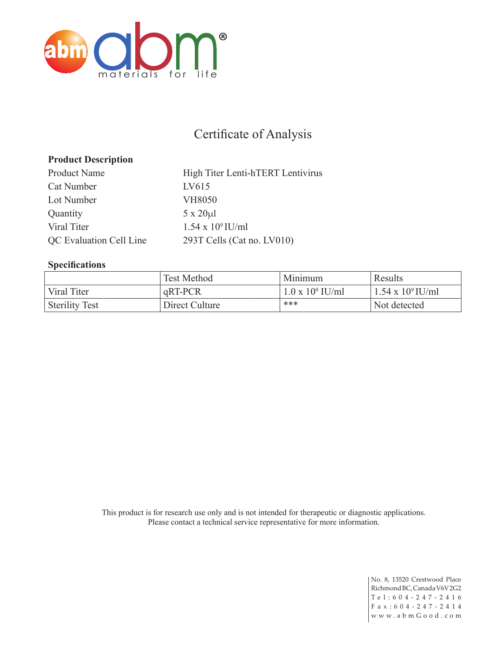

# Certificate of Analysis

### **Product Description**

Product Name High Titer Lenti-hTERT Lentivirus Cat Number LV615 Lot Number VH8050 Quantity 5 x 20 $\mu$ l Viral Titer  $1.54 \times 10^9$  IU/ml QC Evaluation Cell Line 293T Cells (Cat no. LV010)

#### **Specifications**

|                       | Test Method    | Minimum                 | Results                  |
|-----------------------|----------------|-------------------------|--------------------------|
| Viral Titer           | qRT-PCR        | $1.0 \times 10^9$ IU/ml | $1.54 \times 10^9$ IU/ml |
| <b>Sterility Test</b> | Direct Culture | ***                     | Not detected             |

This product is for research use only and is not intended for therapeutic or diagnostic applications. Please contact a technical service representative for more information.

> No. 8, 13520 Crestwood Place Richmond BC, Canada V6V 2G2 Tel:604-247-2416 F a x : 6 0 4 - 2 4 7 - 2 4 1 4 w w w . a b m G o o d . c o m